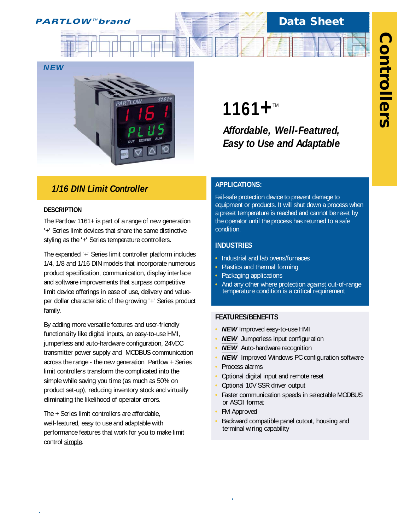

# **Data Sheet**



# *1/16 DIN Limit Controller*

## **DESCRIPTION**

*.*

The Partlow 1161+ is part of a range of new generation '+' Series limit devices that share the same distinctive styling as the '+' Series temperature controllers.

The expanded '+' Series limit controller platform includes 1/4, 1/8 and 1/16 DIN models that incorporate numerous product specification, communication, display interface and software improvements that surpass competitive limit device offerings in ease of use, delivery and valueper dollar characteristic of the growing '+' Series product family.

By adding more versatile features and user-friendly functionality like digital inputs, an easy-to-use HMI, jumperless and auto-hardware configuration, 24VDC transmitter power supply and MODBUS communication across the range - the new generation Partlow + Series limit controllers transform the complicated into the simple while saving you time (as much as 50% on product set-up), reducing inventory stock and virtually eliminating the likelihood of operator errors.

The + Series limit controllers are affordable, well-featured, easy to use and adaptable with performance features that work for you to make limit control simple.

# **1161+**™

*Affordable, Well-Featured, Easy to Use and Adaptable*

# **APPLICATIONS:**

Fail-safe protection device to prevent damage to equipment or products. It will shut down a process when a preset temperature is reached and cannot be reset by the operator until the process has returned to a safe condition.

## **INDUSTRIES**

- **•** Industrial and lab ovens/furnaces
- **•** Plastics and thermal forming
- **•** Packaging applications
- **•** And any other where protection against out-of-range temperature condition is a critical requirement

## **FEATURES/BENEFITS**

- **• NEW** Improved easy-to-use HMI
- **• NEW** Jumperless input configuration
- **NEW** Auto-hardware recognition
- **• NEW** Improved Windows PC configuration software
- **•** Process alarms
- **•** Optional digital input and remote reset
- **•** Optional 10V SSR driver output
- **•** Faster communication speeds in selectable MODBUS or ASCII format
- **•** FM Approved

**.**

**•** Backward compatible panel cutout, housing and terminal wiring capability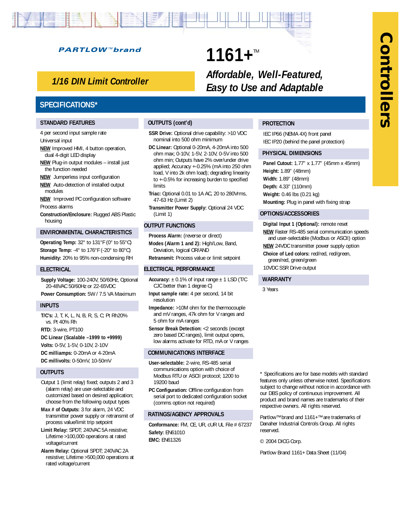# **Controllers Controllers**

## **PARTLOW™brand**

# *1/16 DIN Limit Controller*

# **SPECIFICATIONS\***

#### **STANDARD FEATURES**

4 per second input sample rate Universal input

- **NEW** Improved HMI, 4 button operation, dual 4-digit LED display
- **NEW** Plug-in output modules install just the function needed
- **NEW** Jumperless input configuration
- **NEW** Auto-detection of installed output modules
- **NEW** Improved PC configuration software Process alarms
- **Construction/Enclosure:** Rugged ABS Plastic housing

#### **ENVIRONMENTAL CHARACTERISTICS**

**Operating Temp:** 32° to 131°F (0° to 55°C) **Storage Temp:** -4° to 176°F (-20° to 80°C) **Humidity:** 20% to 95% non-condensing RH

#### **ELECTRICAL**

**Supply Voltage:** 100-240V, 50/60Hz, Optional 20-48VAC 50/60Hz or 22-65VDC **Power Consumption:** 5W / 7.5 VA Maximum

#### **INPUTS**

**T/C's:** J, T, K, L, N, B, R, S, C; Pt Rh20% vs. Pt 40% Rh

**RTD:** 3-wire, PT100

- **DC Linear (Scalable –1999 to +9999)**
- **Volts:** 0-5V, 1-5V, 0-10V, 2-10V

**DC milliamps:** 0-20mA or 4-20mA **DC millivolts:** 0-50mV, 10-50mV

#### **OUTPUTS**

Output 1 (limit relay) fixed; outputs 2 and 3 (alarm relay) are user-selectable and customized based on desired application; choose from the following output types

- **Max # of Outputs:** 3 for alarm, 24 VDC transmitter power supply or retransmit of process value/limit trip setpoint
- **Limit Relay:** SPDT; 240VAC 5A resistive; Lifetime >100,000 operations at rated voltage/current
- **Alarm Relay:** Optional SPDT; 240VAC 2A resistive; Lifetime >500,000 operations at rated voltage/current

#### **OUTPUTS (cont'd)**

**SSR Drive:** Optional drive capability: >10 VDC nominal into 500 ohm minimum

**1161+™** 

- **DC Linear:** Optional 0-20mA, 4-20mA into 500 ohm max; 0-10V, 1-5V, 2-10V, 0-5V into 500 ohm min; Outputs have 2% over/under drive applied; Accuracy +-0.25% (mA into 250 ohm load, V into 2k ohm load); degrading linearity to +-0.5% for increasing burden to specified limits
- **Triac:** Optional 0.01 to 1A AC, 20 to 280Vrms, 47-63 Hz (Limit 2)
- **Transmitter Power Supply:** Optional 24 VDC (Limit 1)

#### **OUTPUT FUNCTIONS**

**Process Alarm:** (reverse or direct) **Modes (Alarm 1 and 2):** High/Low, Band, Deviation, logical OR/AND

**Retransmit:** Process value or limit setpoint

#### **ELECTRICAL PERFORMANCE**

- **Accuracy:**  $\pm$  0.1% of input range  $\pm$  1 LSD (T/C CJC better than 1 degree C)
- **Input sample rate:** 4 per second, 14 bit resolution
- **Impedance:** >10M ohm for the thermocouple and mV ranges, 47k ohm for V ranges and 5 ohm for mA ranges
- **Sensor Break Detection:** <2 seconds (except zero based DC ranges), limit output opens, low alarms activate for RTD, mA or V ranges

#### **COMMUNICATIONS INTERFACE**

- **User-selectable:** 2-wire, RS-485 serial communications option with choice of Modbus RTU or ASCII protocol; 1200 to 19200 baud
- **PC Configuration:** Offline configuration from serial port to dedicated configuration socket (comms option not required)

#### **RATINGS/AGENCY APPROVALS**

**Conformance:** FM, CE, UR, cUR UL File # 67237 **Safety:** EN61010 **EMC:** EN61326

\* Specifications are for base models with standard features only unless otherwise noted. Specifications subject to change without notice in accordance with our DBS policy of continuous improvement. All product and brand names are trademarks of their respective owners. All rights reserved.

Partlow™ brand and 1161+™ are trademarks of Danaher Industrial Controls Group. All rights reserved.

© 2004 DICG Corp.

Partlow Brand 1161+ Data Sheet (11/04)

#### **PROTECTION**

*Affordable, Well-Featured, Easy to Use and Adaptable*

> IEC IP66 (NEMA 4X) front panel IEC IP20 (behind the panel protection)

#### **PHYSICAL DIMENSIONS**

**Panel Cutout:** 1.77" x 1.77" (45mm x 45mm) **Height:** 1.89" (48mm) **Width:** 1.89" (48mm) **Depth:** 4.33" (110mm) **Weight:** 0.46 lbs (0.21 kg) **Mounting:** Plug in panel with fixing strap

#### **OPTIONS/ACCESSORIES**

**Digital Input 1 (Optional):** remote reset **NEW** Faster RS-485 serial communication speeds and user-selectable (Modbus or ASCII) option **NEW** 24VDC transmitter power supply option **Choice of Led colors:** red/red, red/green, green/red, green/green 10VDC SSR Drive output

#### **WARRANTY**

3 Years